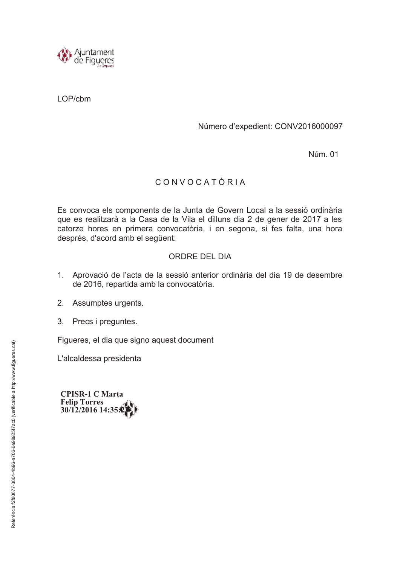

LOP/cbm

## Número d'expedient: CONV2016000097

Núm. 01

## CONVOCATÒRIA

Es convoca els components de la Junta de Govern Local a la sessió ordinària que es realitzarà a la Casa de la Vila el dilluns dia 2 de gener de 2017 a les catorze hores en primera convocatòria, i en segona, si fes falta, una hora després, d'acord amb el següent:

## ORDRE DEL DIA

- 1. Aprovació de l'acta de la sessió anterior ordinària del dia 19 de desembre de 2016, repartida amb la convocatòria.
- 2. Assumptes urgents.
- 3. Precs i preguntes.

Figueres, el dia que signo aquest document

L'alcaldessa presidenta

**CPISR-1 C Marta Felip Torres** 30/12/2016 14:35:0